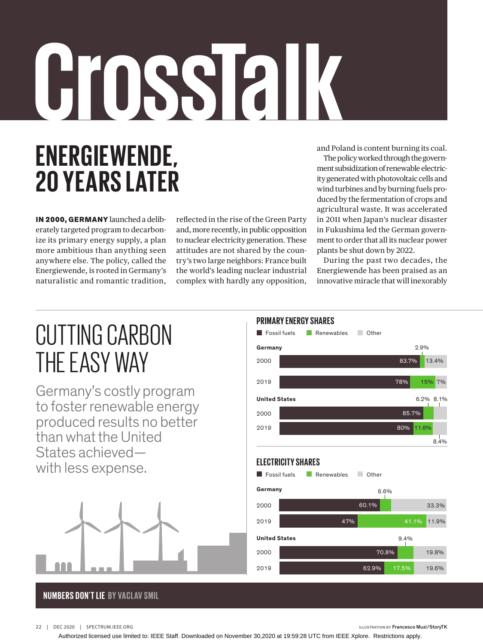## NUMBERS DON'T LIEU DIE BY VAN DIE BYDSKIP DIE BYDSKIP DIE BYDSKIP SMIL OPINIONE DIE BYDSKIP SMIL OPINIONE DIE **ENERGIEWENDE, 20 YEARS LATER CrossTalk**

IN 2000, GERMANY launched a deliberately targeted program to decarbonize its primary energy supply, a plan more ambitious than anything seen anywhere else. The policy, called the Energiewende, is rooted in Germany's naturalistic and romantic tradition,

reflected in the rise of the Green Party and, more recently, in public opposition to nuclear electricity generation. These attitudes are not shared by the country's two large neighbors: France built the world's leading nuclear industrial complex with hardly any opposition, and Poland is content burning its coal.

The policy worked through the government subsidization of renewable electricity generated with photovoltaic cells and wind turbines and by burning fuels produced by the fermentation of crops and agricultural waste. It was accelerated in 2011 when Japan's nuclear disaster in Fukushima led the German government to order that all its nuclear power plants be shut down by 2022.

During the past two decades, the Energiewende has been praised as an innovative miracle that will inexorably

## CUTTING CARBON THE EASY WAY

Germany's costly program to foster renewable energy produced results no better than what the United States achieved with less expense.



## **NUMBERS DON'T LIE BY VACLAV SMIL**



 $x_1$ 

22 | DEC 2020 | SPECTRUM.IEEE.ORG **ILLUSTRATION BY** Francesco Muzi/StoryTK

Authorized licensed use limited to: IEEE Staff. Downloaded on November 30,2020 at 19:59:28 UTC from IEEE Xplore. Restrictions apply.